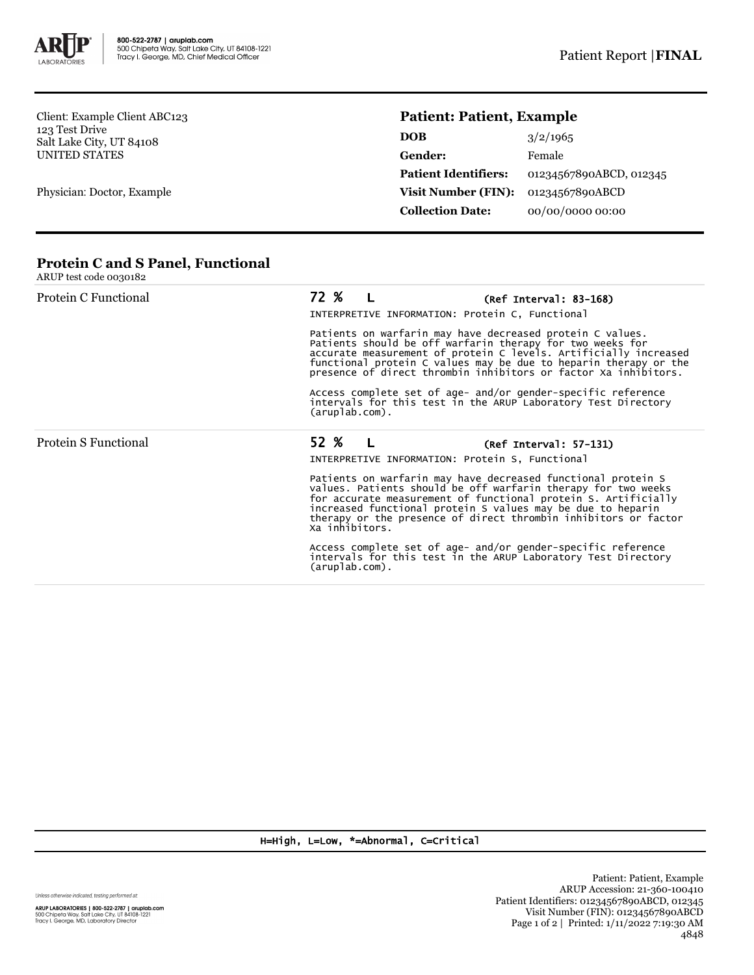

Client: Example Client ABC123 123 Test Drive Salt Lake City, UT 84108 UNITED STATES

Physician: Doctor, Example

## **Patient: Patient, Example**

| <b>DOB</b>                  | 3/2/1965                |
|-----------------------------|-------------------------|
| Gender:                     | Female                  |
| <b>Patient Identifiers:</b> | 01234567890ABCD, 012345 |
| <b>Visit Number (FIN):</b>  | 01234567890ABCD         |
| <b>Collection Date:</b>     | 00/00/0000 00:00        |

## **Protein C and S Panel, Functional**

| ARUP test code 0030182                                                                                                                                                                                                                                                                                                            |                                                                                                                                                                                                                                                                                                                                                     |  |  |
|-----------------------------------------------------------------------------------------------------------------------------------------------------------------------------------------------------------------------------------------------------------------------------------------------------------------------------------|-----------------------------------------------------------------------------------------------------------------------------------------------------------------------------------------------------------------------------------------------------------------------------------------------------------------------------------------------------|--|--|
| Protein C Functional                                                                                                                                                                                                                                                                                                              | 72 % L<br>$(Ref Interval: 83-168)$<br>INTERPRETIVE INFORMATION: Protein C, Functional                                                                                                                                                                                                                                                               |  |  |
| Patients on warfarin may have decreased protein C values.<br>Patients should be off warfarin therapy for two weeks for<br>accurate measurement of protein C levels. Artificially increased<br>functional protein C values may be due to heparin therapy or the<br>presence of direct thrombin inhibitors or factor Xa inhibitors. |                                                                                                                                                                                                                                                                                                                                                     |  |  |
|                                                                                                                                                                                                                                                                                                                                   | Access complete set of age- and/or gender-specific reference<br>intervals for this test in the ARUP Laboratory Test Directory<br>$(\text{aruplab.com})$ .                                                                                                                                                                                           |  |  |
| Protein S Functional                                                                                                                                                                                                                                                                                                              | 52 %<br>$(Ref Interval: 57-131)$<br>INTERPRETIVE INFORMATION: Protein S, Functional                                                                                                                                                                                                                                                                 |  |  |
|                                                                                                                                                                                                                                                                                                                                   | Patients on warfarin may have decreased functional protein S<br>values. Patients should be off warfarin therapy for two weeks<br>for accurate measurement of functional protein S. Artificially<br>increased functional protein S values may be due to heparin<br>therapy or the presence of direct thrombin inhibitors or factor<br>Xa inhibitors. |  |  |
|                                                                                                                                                                                                                                                                                                                                   | Access complete set of age- and/or gender-specific reference<br>intervals for this test in the ARUP Laboratory Test Directory<br>(aruplab.com).                                                                                                                                                                                                     |  |  |

## H=High, L=Low, \*=Abnormal, C=Critical

Unless otherwise indicated, testing performed at: